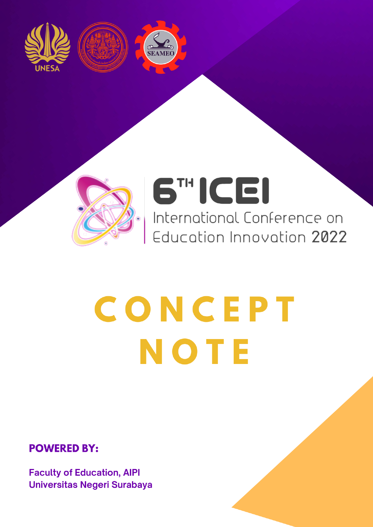







# 6TH ICEI

International Conference on Education Innovation 2022

# CONCEPT NOTE

**POWERED BY:** 

**Faculty of Education, AIPI Universitas Negeri Surabaya**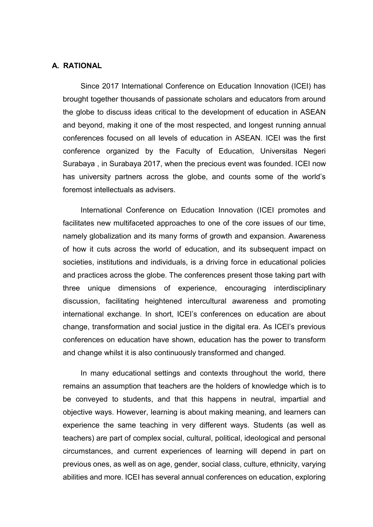# **A. RATIONAL**

Since 2017 International Conference on Education Innovation (ICEI) has brought together thousands of passionate scholars and educators from around the globe to discuss ideas critical to the development of education in ASEAN and beyond, making it one of the most respected, and longest running annual conferences focused on all levels of education in ASEAN. ICEI was the first conference organized by the Faculty of Education, Universitas Negeri Surabaya , in Surabaya 2017, when the precious event was founded. ICEI now has university partners across the globe, and counts some of the world's foremost intellectuals as advisers.

International Conference on Education Innovation (ICEI promotes and facilitates new multifaceted approaches to one of the core issues of our time, namely globalization and its many forms of growth and expansion. Awareness of how it cuts across the world of education, and its subsequent impact on societies, institutions and individuals, is a driving force in educational policies and practices across the globe. The conferences present those taking part with three unique dimensions of experience, encouraging interdisciplinary discussion, facilitating heightened intercultural awareness and promoting international exchange. In short, ICEI's conferences on education are about change, transformation and social justice in the digital era. As ICEI's previous conferences on education have shown, education has the power to transform and change whilst it is also continuously transformed and changed.

In many educational settings and contexts throughout the world, there remains an assumption that teachers are the holders of knowledge which is to be conveyed to students, and that this happens in neutral, impartial and objective ways. However, learning is about making meaning, and learners can experience the same teaching in very different ways. Students (as well as teachers) are part of complex social, cultural, political, ideological and personal circumstances, and current experiences of learning will depend in part on previous ones, as well as on age, gender, social class, culture, ethnicity, varying abilities and more. ICEI has several annual conferences on education, exploring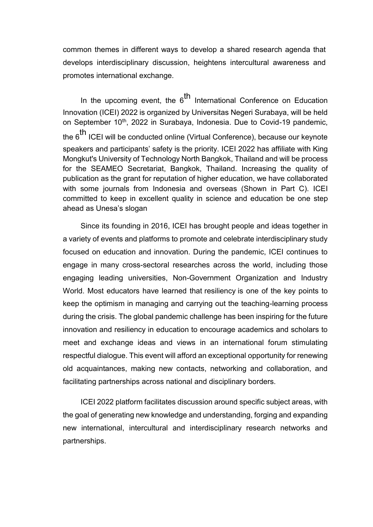common themes in different ways to develop a shared research agenda that develops interdisciplinary discussion, heightens intercultural awareness and promotes international exchange.

In the upcoming event, the 6<sup>th</sup> International Conference on Education Innovation (ICEI) 2022 is organized by Universitas Negeri Surabaya, will be held on September 10<sup>th</sup>, 2022 in Surabaya, Indonesia. Due to Covid-19 pandemic, the  $6<sup>th</sup>$  ICEI will be conducted online (Virtual Conference), because our keynote speakers and participants' safety is the priority. ICEI 2022 has affiliate with King Mongkut's University of Technology North Bangkok, Thailand and will be process for the SEAMEO Secretariat, Bangkok, Thailand. Increasing the quality of publication as the grant for reputation of higher education, we have collaborated with some journals from Indonesia and overseas (Shown in Part C). ICEI committed to keep in excellent quality in science and education be one step ahead as Unesa's slogan

Since its founding in 2016, ICEI has brought people and ideas together in a variety of events and platforms to promote and celebrate interdisciplinary study focused on education and innovation. During the pandemic, ICEI continues to engage in many cross-sectoral researches across the world, including those engaging leading universities, Non-Government Organization and Industry World. Most educators have learned that resiliency is one of the key points to keep the optimism in managing and carrying out the teaching-learning process during the crisis. The global pandemic challenge has been inspiring for the future innovation and resiliency in education to encourage academics and scholars to meet and exchange ideas and views in an international forum stimulating respectful dialogue. This event will afford an exceptional opportunity for renewing old acquaintances, making new contacts, networking and collaboration, and facilitating partnerships across national and disciplinary borders.

ICEI 2022 platform facilitates discussion around specific subject areas, with the goal of generating new knowledge and understanding, forging and expanding new international, intercultural and interdisciplinary research networks and partnerships.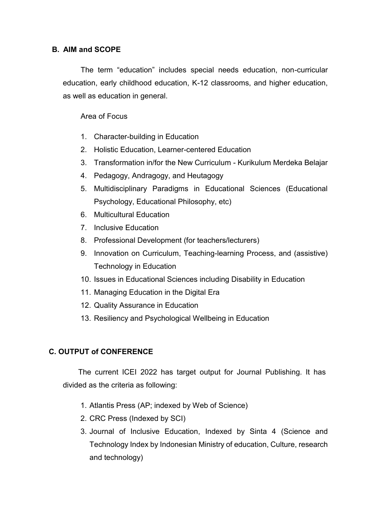# **B. AIM and SCOPE**

The term "education" includes special needs education, non-curricular education, early childhood education, K-12 classrooms, and higher education, as well as education in general.

# Area of Focus

- 1. Character-building in Education
- 2. Holistic Education, Learner-centered Education
- 3. Transformation in/for the New Curriculum Kurikulum Merdeka Belajar
- 4. Pedagogy, Andragogy, and Heutagogy
- 5. Multidisciplinary Paradigms in Educational Sciences (Educational Psychology, Educational Philosophy, etc)
- 6. Multicultural Education
- 7. Inclusive Education
- 8. Professional Development (for teachers/lecturers)
- 9. Innovation on Curriculum, Teaching-learning Process, and (assistive) Technology in Education
- 10. Issues in Educational Sciences including Disability in Education
- 11. Managing Education in the Digital Era
- 12. Quality Assurance in Education
- 13. Resiliency and Psychological Wellbeing in Education

# **C. OUTPUT of CONFERENCE**

The current ICEI 2022 has target output for Journal Publishing. It has divided as the criteria as following:

- 1. Atlantis Press (AP; indexed by Web of Science)
- 2. CRC Press (Indexed by SCI)
- 3. Journal of Inclusive Education, Indexed by Sinta 4 (Science and Technology Index by Indonesian Ministry of education, Culture, research and technology)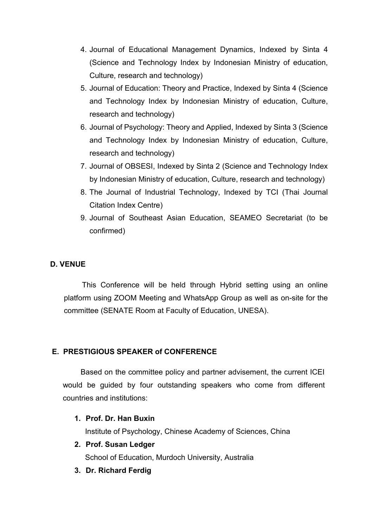- 4. Journal of Educational Management Dynamics, Indexed by Sinta 4 (Science and Technology Index by Indonesian Ministry of education, Culture, research and technology)
- 5. Journal of Education: Theory and Practice, Indexed by Sinta 4 (Science and Technology Index by Indonesian Ministry of education, Culture, research and technology)
- 6. Journal of Psychology: Theory and Applied, Indexed by Sinta 3 (Science and Technology Index by Indonesian Ministry of education, Culture, research and technology)
- 7. Journal of OBSESI, Indexed by Sinta 2 (Science and Technology Index by Indonesian Ministry of education, Culture, research and technology)
- 8. The Journal of Industrial Technology, Indexed by TCI (Thai Journal Citation Index Centre)
- 9. Journal of Southeast Asian Education, SEAMEO Secretariat (to be confirmed)

# **D. VENUE**

This Conference will be held through Hybrid setting using an online platform using ZOOM Meeting and WhatsApp Group as well as on-site for the committee (SENATE Room at Faculty of Education, UNESA).

# **E. PRESTIGIOUS SPEAKER of CONFERENCE**

Based on the committee policy and partner advisement, the current ICEI would be guided by four outstanding speakers who come from different countries and institutions:

**1. Prof. Dr. Han Buxin**

Institute of Psychology, Chinese Academy of Sciences, China

- **2. Prof. Susan Ledger** School of Education, Murdoch University, Australia
- **3. Dr. Richard Ferdig**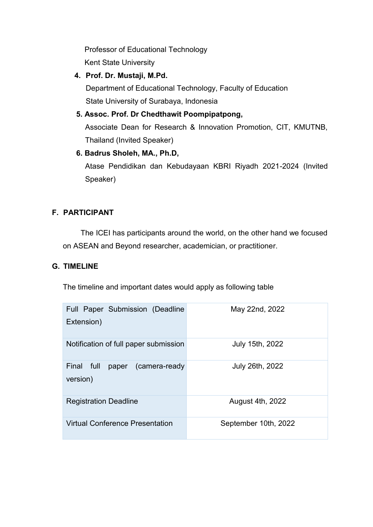Professor of Educational Technology Kent State University

**4. Prof. Dr. Mustaji, M.Pd.**

Department of Educational Technology, Faculty of Education State University of Surabaya, Indonesia

**5. Assoc. Prof. Dr Chedthawit Poompipatpong,** 

Associate Dean for Research & Innovation Promotion, CIT, KMUTNB, Thailand (Invited Speaker)

**6. Badrus Sholeh, MA., Ph.D,** 

Atase Pendidikan dan Kebudayaan KBRI Riyadh 2021-2024 (Invited Speaker)

# **F. PARTICIPANT**

The ICEI has participants around the world, on the other hand we focused on ASEAN and Beyond researcher, academician, or practitioner.

# **G. TIMELINE**

The timeline and important dates would apply as following table

| <b>Full Paper Submission (Deadline</b><br>Extension) | May 22nd, 2022       |
|------------------------------------------------------|----------------------|
| Notification of full paper submission                | July 15th, 2022      |
| Final full<br>paper (camera-ready<br>version)        | July 26th, 2022      |
| <b>Registration Deadline</b>                         | August 4th, 2022     |
| <b>Virtual Conference Presentation</b>               | September 10th, 2022 |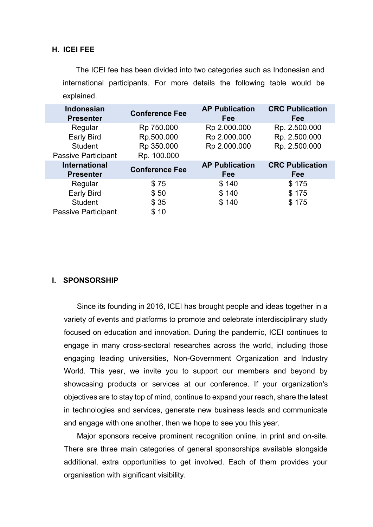# **H. ICEI FEE**

The ICEI fee has been divided into two categories such as Indonesian and international participants. For more details the following table would be explained.

| <b>Indonesian</b><br><b>Presenter</b> | <b>Conference Fee</b> | <b>AP Publication</b><br>Fee | <b>CRC Publication</b><br>Fee |
|---------------------------------------|-----------------------|------------------------------|-------------------------------|
| Regular                               | Rp 750.000            | Rp 2.000.000                 | Rp. 2.500.000                 |
| <b>Early Bird</b>                     | Rp.500.000            | Rp 2.000.000                 | Rp. 2.500.000                 |
| <b>Student</b>                        | Rp 350.000            | Rp 2.000.000                 | Rp. 2.500.000                 |
| <b>Passive Participant</b>            | Rp. 100.000           |                              |                               |
| <b>International</b>                  |                       | <b>AP Publication</b>        | <b>CRC Publication</b>        |
| <b>Presenter</b>                      | <b>Conference Fee</b> | Fee                          | Fee                           |
| Regular                               | \$75                  | \$140                        | \$175                         |
| <b>Early Bird</b>                     | \$50                  | \$140                        | \$175                         |
| <b>Student</b>                        | \$35                  | \$140                        | \$175                         |

## **I. SPONSORSHIP**

Since its founding in 2016, ICEI has brought people and ideas together in a variety of events and platforms to promote and celebrate interdisciplinary study focused on education and innovation. During the pandemic, ICEI continues to engage in many cross-sectoral researches across the world, including those engaging leading universities, Non-Government Organization and Industry World. This year, we invite you to support our members and beyond by showcasing products or services at our conference. If your organization's objectives are to stay top of mind, continue to expand your reach, share the latest in technologies and services, generate new business leads and communicate and engage with one another, then we hope to see you this year.

Major sponsors receive prominent recognition online, in print and on-site. There are three main categories of general sponsorships available alongside additional, extra opportunities to get involved. Each of them provides your organisation with significant visibility.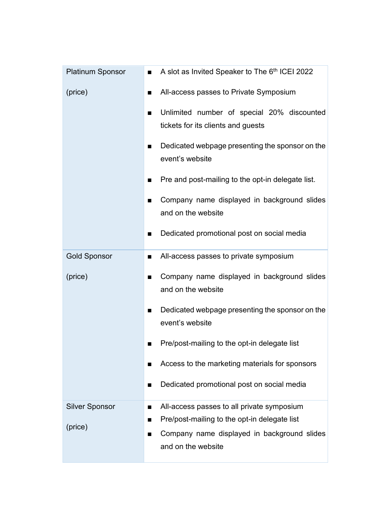| <b>Platinum Sponsor</b> | A slot as Invited Speaker to The 6th ICEI 2022                                                                                           |
|-------------------------|------------------------------------------------------------------------------------------------------------------------------------------|
| (price)                 | All-access passes to Private Symposium<br>■                                                                                              |
|                         | Unlimited number of special 20% discounted<br>■<br>tickets for its clients and guests                                                    |
|                         | Dedicated webpage presenting the sponsor on the<br>$\blacksquare$<br>event's website                                                     |
|                         | Pre and post-mailing to the opt-in delegate list.                                                                                        |
|                         | Company name displayed in background slides<br>п<br>and on the website                                                                   |
|                         | Dedicated promotional post on social media<br>п                                                                                          |
| <b>Gold Sponsor</b>     | All-access passes to private symposium<br>п                                                                                              |
| (price)                 | Company name displayed in background slides<br>п<br>and on the website                                                                   |
|                         | Dedicated webpage presenting the sponsor on the<br>п<br>event's website                                                                  |
|                         | Pre/post-mailing to the opt-in delegate list                                                                                             |
|                         | Access to the marketing materials for sponsors<br>$\blacksquare$                                                                         |
|                         | Dedicated promotional post on social media<br>п                                                                                          |
| <b>Silver Sponsor</b>   | All-access passes to all private symposium<br>п                                                                                          |
| (price)                 | Pre/post-mailing to the opt-in delegate list<br>■<br>Company name displayed in background slides<br>$\blacksquare$<br>and on the website |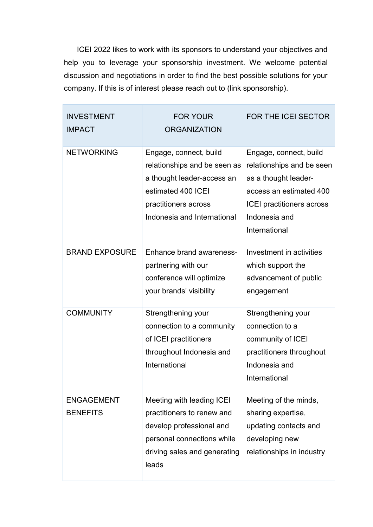ICEI 2022 likes to work with its sponsors to understand your objectives and help you to leverage your sponsorship investment. We welcome potential discussion and negotiations in order to find the best possible solutions for your company. If this is of interest please reach out to (link sponsorship).

| <b>INVESTMENT</b><br><b>IMPACT</b>   | <b>FOR YOUR</b><br><b>ORGANIZATION</b>                                                                                                                            | <b>FOR THE ICEI SECTOR</b>                                                                                                                                                   |
|--------------------------------------|-------------------------------------------------------------------------------------------------------------------------------------------------------------------|------------------------------------------------------------------------------------------------------------------------------------------------------------------------------|
| <b>NETWORKING</b>                    | Engage, connect, build<br>relationships and be seen as<br>a thought leader-access an<br>estimated 400 ICEI<br>practitioners across<br>Indonesia and International | Engage, connect, build<br>relationships and be seen<br>as a thought leader-<br>access an estimated 400<br><b>ICEI</b> practitioners across<br>Indonesia and<br>International |
| <b>BRAND EXPOSURE</b>                | <b>Enhance brand awareness-</b><br>partnering with our<br>conference will optimize<br>your brands' visibility                                                     | Investment in activities<br>which support the<br>advancement of public<br>engagement                                                                                         |
| <b>COMMUNITY</b>                     | Strengthening your<br>connection to a community<br>of ICEI practitioners<br>throughout Indonesia and<br>International                                             | Strengthening your<br>connection to a<br>community of ICEI<br>practitioners throughout<br>Indonesia and<br>International                                                     |
| <b>ENGAGEMENT</b><br><b>BENEFITS</b> | Meeting with leading ICEI<br>practitioners to renew and<br>develop professional and<br>personal connections while<br>driving sales and generating<br>leads        | Meeting of the minds,<br>sharing expertise,<br>updating contacts and<br>developing new<br>relationships in industry                                                          |